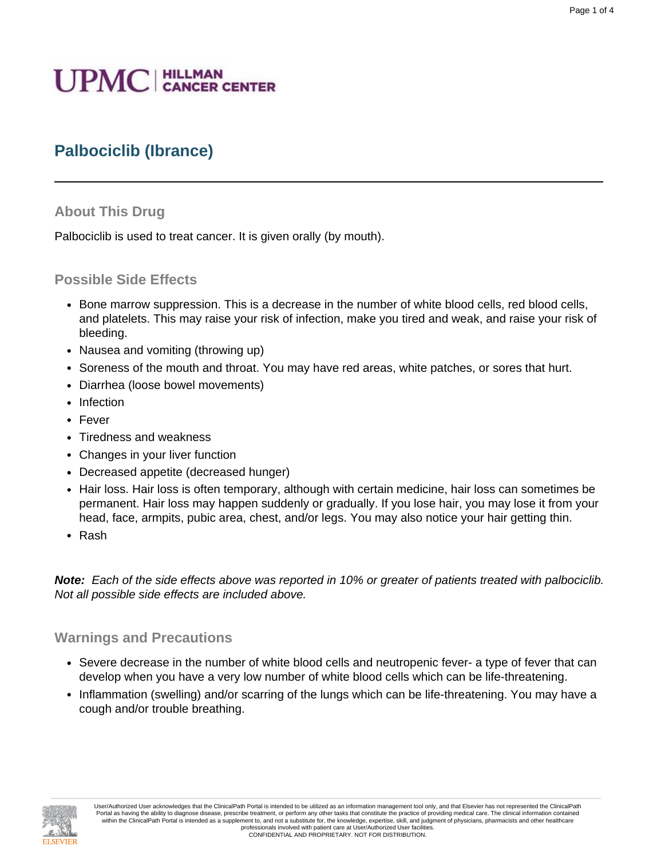# **UPMC** | HILLMAN

## **Palbociclib (Ibrance)**

#### **About This Drug**

Palbociclib is used to treat cancer. It is given orally (by mouth).

#### **Possible Side Effects**

- Bone marrow suppression. This is a decrease in the number of white blood cells, red blood cells, and platelets. This may raise your risk of infection, make you tired and weak, and raise your risk of bleeding.
- Nausea and vomiting (throwing up)
- Soreness of the mouth and throat. You may have red areas, white patches, or sores that hurt.
- Diarrhea (loose bowel movements)
- Infection
- Fever
- Tiredness and weakness
- Changes in your liver function
- Decreased appetite (decreased hunger)
- Hair loss. Hair loss is often temporary, although with certain medicine, hair loss can sometimes be permanent. Hair loss may happen suddenly or gradually. If you lose hair, you may lose it from your head, face, armpits, pubic area, chest, and/or legs. You may also notice your hair getting thin.
- Rash

**Note:** Each of the side effects above was reported in 10% or greater of patients treated with palbociclib. Not all possible side effects are included above.

#### **Warnings and Precautions**

- Severe decrease in the number of white blood cells and neutropenic fever- a type of fever that can develop when you have a very low number of white blood cells which can be life-threatening.
- Inflammation (swelling) and/or scarring of the lungs which can be life-threatening. You may have a cough and/or trouble breathing.

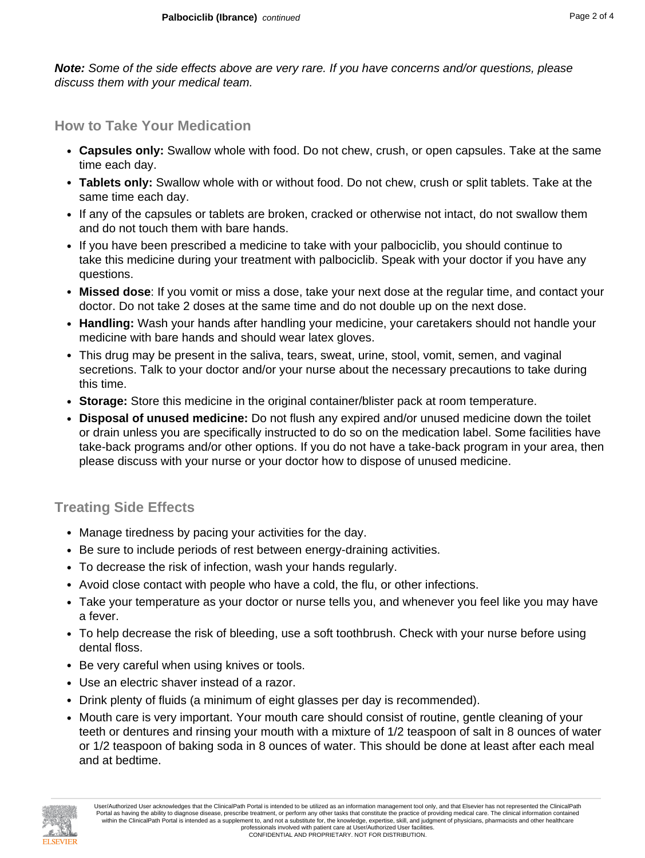**Note:** Some of the side effects above are very rare. If you have concerns and/or questions, please discuss them with your medical team.

#### **How to Take Your Medication**

- **Capsules only:** Swallow whole with food. Do not chew, crush, or open capsules. Take at the same time each day.
- **Tablets only:** Swallow whole with or without food. Do not chew, crush or split tablets. Take at the same time each day.
- If any of the capsules or tablets are broken, cracked or otherwise not intact, do not swallow them and do not touch them with bare hands.
- If you have been prescribed a medicine to take with your palbociclib, you should continue to take this medicine during your treatment with palbociclib. Speak with your doctor if you have any questions.
- **Missed dose**: If you vomit or miss a dose, take your next dose at the regular time, and contact your doctor. Do not take 2 doses at the same time and do not double up on the next dose.
- **Handling:** Wash your hands after handling your medicine, your caretakers should not handle your medicine with bare hands and should wear latex gloves.
- This drug may be present in the saliva, tears, sweat, urine, stool, vomit, semen, and vaginal secretions. Talk to your doctor and/or your nurse about the necessary precautions to take during this time.
- **Storage:** Store this medicine in the original container/blister pack at room temperature.
- **Disposal of unused medicine:** Do not flush any expired and/or unused medicine down the toilet or drain unless you are specifically instructed to do so on the medication label. Some facilities have take-back programs and/or other options. If you do not have a take-back program in your area, then please discuss with your nurse or your doctor how to dispose of unused medicine.

### **Treating Side Effects**

- Manage tiredness by pacing your activities for the day.
- Be sure to include periods of rest between energy-draining activities.
- To decrease the risk of infection, wash your hands regularly.
- Avoid close contact with people who have a cold, the flu, or other infections.
- Take your temperature as your doctor or nurse tells you, and whenever you feel like you may have a fever.
- To help decrease the risk of bleeding, use a soft toothbrush. Check with your nurse before using dental floss.
- Be very careful when using knives or tools.
- Use an electric shaver instead of a razor.
- Drink plenty of fluids (a minimum of eight glasses per day is recommended).
- Mouth care is very important. Your mouth care should consist of routine, gentle cleaning of your teeth or dentures and rinsing your mouth with a mixture of 1/2 teaspoon of salt in 8 ounces of water or 1/2 teaspoon of baking soda in 8 ounces of water. This should be done at least after each meal and at bedtime.

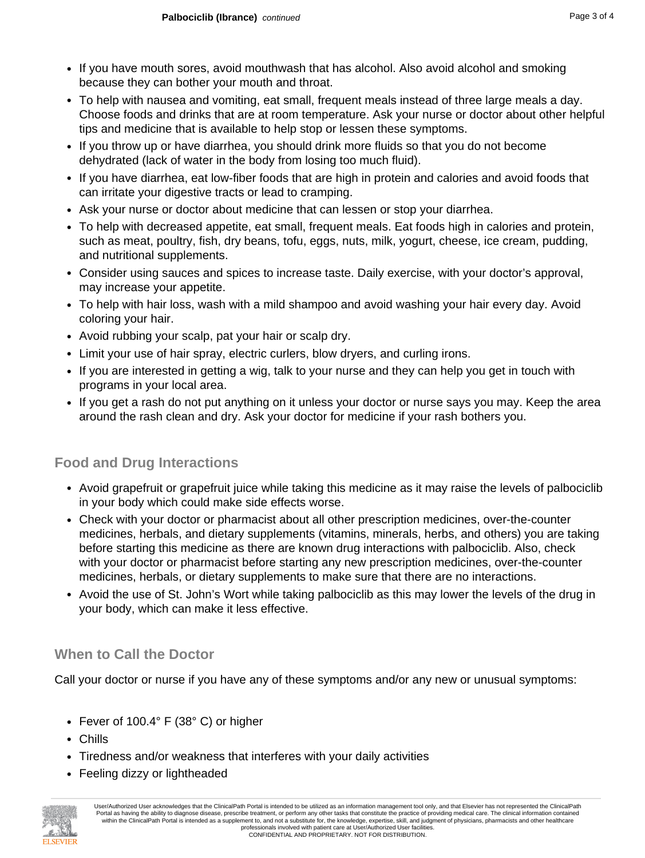- If you have mouth sores, avoid mouthwash that has alcohol. Also avoid alcohol and smoking because they can bother your mouth and throat.
- To help with nausea and vomiting, eat small, frequent meals instead of three large meals a day. Choose foods and drinks that are at room temperature. Ask your nurse or doctor about other helpful tips and medicine that is available to help stop or lessen these symptoms.
- If you throw up or have diarrhea, you should drink more fluids so that you do not become dehydrated (lack of water in the body from losing too much fluid).
- If you have diarrhea, eat low-fiber foods that are high in protein and calories and avoid foods that can irritate your digestive tracts or lead to cramping.
- Ask your nurse or doctor about medicine that can lessen or stop your diarrhea.
- To help with decreased appetite, eat small, frequent meals. Eat foods high in calories and protein, such as meat, poultry, fish, dry beans, tofu, eggs, nuts, milk, yogurt, cheese, ice cream, pudding, and nutritional supplements.
- Consider using sauces and spices to increase taste. Daily exercise, with your doctor's approval, may increase your appetite.
- To help with hair loss, wash with a mild shampoo and avoid washing your hair every day. Avoid coloring your hair.
- Avoid rubbing your scalp, pat your hair or scalp dry.
- Limit your use of hair spray, electric curlers, blow dryers, and curling irons.
- If you are interested in getting a wig, talk to your nurse and they can help you get in touch with programs in your local area.
- If you get a rash do not put anything on it unless your doctor or nurse says you may. Keep the area around the rash clean and dry. Ask your doctor for medicine if your rash bothers you.

## **Food and Drug Interactions**

- Avoid grapefruit or grapefruit juice while taking this medicine as it may raise the levels of palbociclib in your body which could make side effects worse.
- Check with your doctor or pharmacist about all other prescription medicines, over-the-counter medicines, herbals, and dietary supplements (vitamins, minerals, herbs, and others) you are taking before starting this medicine as there are known drug interactions with palbociclib. Also, check with your doctor or pharmacist before starting any new prescription medicines, over-the-counter medicines, herbals, or dietary supplements to make sure that there are no interactions.
- Avoid the use of St. John's Wort while taking palbociclib as this may lower the levels of the drug in your body, which can make it less effective.

## **When to Call the Doctor**

Call your doctor or nurse if you have any of these symptoms and/or any new or unusual symptoms:

- Fever of 100.4° F (38° C) or higher
- Chills
- Tiredness and/or weakness that interferes with your daily activities
- Feeling dizzy or lightheaded



User/Authorized User acknowledges that the ClinicalPath Portal is intended to be utilized as an information management tool only, and that Elsevier has not represented the ClinicalPath Portal as having the ability to diagnose disease, prescribe treatment, or perform any other tasks that constitute the practice of providing medical care. The clinical information contained within the ClinicalPath Portal is intended as a supplement to, and not a substitute for, the knowledge, expertise, skill, and judgment of physicians, pharmacists and other healthcare professionals involved with patient care at User/Authorized User facilities. CONFIDENTIAL AND PROPRIETARY. NOT FOR DISTRIBUTION.